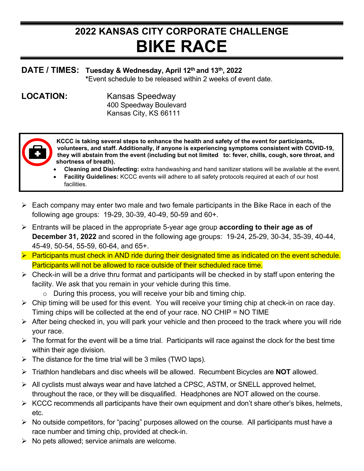## **2022 KANSAS CITY CORPORATE CHALLENGE BIKE RACE**

## **DATE / TIMES: Tuesday & Wednesday, April 12th and 13th, 2022**

**\***Event schedule to be released within 2 weeks of event date.

**LOCATION:** Kansas Speedway 400 Speedway Boulevard Kansas City, KS 66111



**KCCC is taking several steps to enhance the health and safety of the event for participants, volunteers, and staff. Additionally, if anyone is experiencing symptoms consistent with COVID-19, they will abstain from the event (including but not limited to: fever, chills, cough, sore throat, and shortness of breath).**

- **Cleaning and Disinfecting:** extra handwashing and hand sanitizer stations will be available at the event.
- **Facility Guidelines:** KCCC events will adhere to all safety protocols required at each of our host facilities.
- $\triangleright$  Each company may enter two male and two female participants in the Bike Race in each of the following age groups: 19-29, 30-39, 40-49, 50-59 and 60+.
- Entrants will be placed in the appropriate 5-year age group **according to their age as of December 31, 2022** and scored in the following age groups: 19-24, 25-29, 30-34, 35-39, 40-44, 45-49, 50-54, 55-59, 60-64, and 65+.
- $\triangleright$  Participants must check in AND ride during their designated time as indicated on the event schedule. Participants will not be allowed to race outside of their scheduled race time.
- $\triangleright$  Check-in will be a drive thru format and participants will be checked in by staff upon entering the facility. We ask that you remain in your vehicle during this time.
	- $\circ$  During this process, you will receive your bib and timing chip.
- $\triangleright$  Chip timing will be used for this event. You will receive your timing chip at check-in on race day. Timing chips will be collected at the end of your race. NO CHIP = NO TIME
- $\triangleright$  After being checked in, you will park your vehicle and then proceed to the track where you will ride your race.
- $\triangleright$  The format for the event will be a time trial. Participants will race against the clock for the best time within their age division.
- $\triangleright$  The distance for the time trial will be 3 miles (TWO laps).
- Triathlon handlebars and disc wheels will be allowed. Recumbent Bicycles are **NOT** allowed.
- $\triangleright$  All cyclists must always wear and have latched a CPSC, ASTM, or SNELL approved helmet, throughout the race, or they will be disqualified. Headphones are NOT allowed on the course.
- $\triangleright$  KCCC recommends all participants have their own equipment and don't share other's bikes, helmets, etc.
- $\triangleright$  No outside competitors, for "pacing" purposes allowed on the course. All participants must have a race number and timing chip, provided at check-in.
- $\triangleright$  No pets allowed; service animals are welcome.